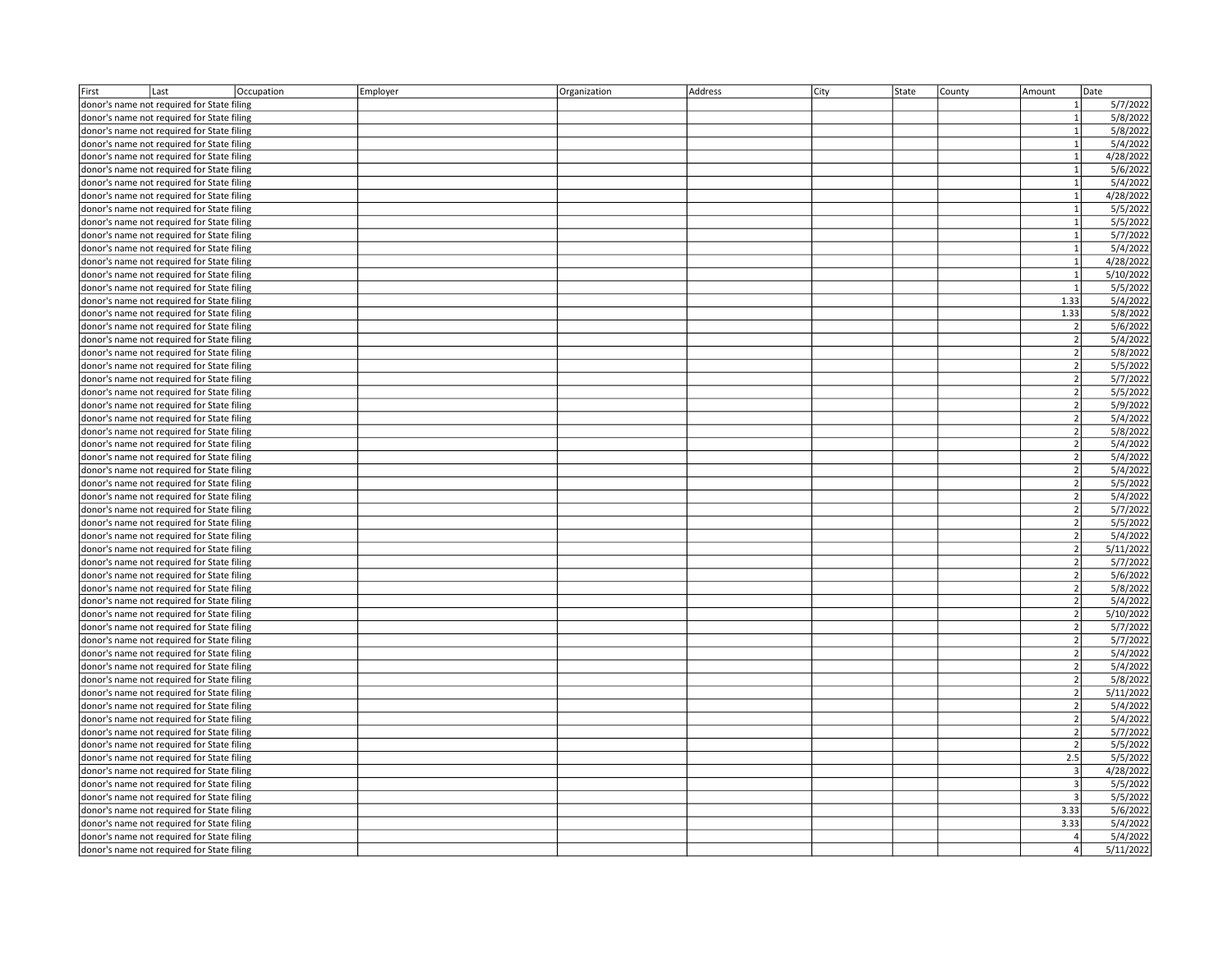| First                                                      | Last                                       | Occupation | Employer | Organization | Address | City | State | County | Amount                  | Date      |
|------------------------------------------------------------|--------------------------------------------|------------|----------|--------------|---------|------|-------|--------|-------------------------|-----------|
|                                                            | donor's name not required for State filing |            |          |              |         |      |       |        | $\mathbf{1}$            | 5/7/2022  |
| donor's name not required for State filing<br>$\mathbf{1}$ |                                            |            |          |              |         |      |       |        | 5/8/2022                |           |
| donor's name not required for State filing                 |                                            |            |          |              |         |      |       |        | $\mathbf{1}$            | 5/8/2022  |
|                                                            | donor's name not required for State filing |            |          |              |         |      |       |        | $\mathbf{1}$            | 5/4/2022  |
|                                                            | donor's name not required for State filing |            |          |              |         |      |       |        | $\mathbf{1}$            | 4/28/2022 |
|                                                            | donor's name not required for State filing |            |          |              |         |      |       |        | $\mathbf{1}$            | 5/6/2022  |
|                                                            | donor's name not required for State filing |            |          |              |         |      |       |        | $\mathbf{1}$            | 5/4/2022  |
|                                                            | donor's name not required for State filing |            |          |              |         |      |       |        | $\mathbf{1}$            | 4/28/2022 |
|                                                            | donor's name not required for State filing |            |          |              |         |      |       |        | $\mathbf{1}$            | 5/5/2022  |
|                                                            | donor's name not required for State filing |            |          |              |         |      |       |        | $\mathbf{1}$            | 5/5/2022  |
|                                                            | donor's name not required for State filing |            |          |              |         |      |       |        | $\mathbf{1}$            | 5/7/2022  |
|                                                            |                                            |            |          |              |         |      |       |        | $\mathbf{1}$            | 5/4/2022  |
|                                                            | donor's name not required for State filing |            |          |              |         |      |       |        | $\mathbf{1}$            |           |
|                                                            | donor's name not required for State filing |            |          |              |         |      |       |        | $\mathbf{1}$            | 4/28/2022 |
|                                                            | donor's name not required for State filing |            |          |              |         |      |       |        |                         | 5/10/2022 |
|                                                            | donor's name not required for State filing |            |          |              |         |      |       |        | $\mathbf{1}$            | 5/5/2022  |
|                                                            | donor's name not required for State filing |            |          |              |         |      |       |        | 1.33                    | 5/4/2022  |
|                                                            | donor's name not required for State filing |            |          |              |         |      |       |        | 1.33                    | 5/8/2022  |
|                                                            | donor's name not required for State filing |            |          |              |         |      |       |        | $\overline{2}$          | 5/6/2022  |
|                                                            | donor's name not required for State filing |            |          |              |         |      |       |        | $\overline{2}$          | 5/4/2022  |
|                                                            | donor's name not required for State filing |            |          |              |         |      |       |        | $\overline{2}$          | 5/8/2022  |
|                                                            | donor's name not required for State filing |            |          |              |         |      |       |        | 2                       | 5/5/2022  |
|                                                            | donor's name not required for State filing |            |          |              |         |      |       |        | $\overline{2}$          | 5/7/2022  |
|                                                            | donor's name not required for State filing |            |          |              |         |      |       |        | $\overline{2}$          | 5/5/2022  |
|                                                            | donor's name not required for State filing |            |          |              |         |      |       |        | $\overline{2}$          | 5/9/2022  |
|                                                            | donor's name not required for State filing |            |          |              |         |      |       |        | $\overline{2}$          | 5/4/2022  |
|                                                            | donor's name not required for State filing |            |          |              |         |      |       |        | $\overline{2}$          | 5/8/2022  |
|                                                            | donor's name not required for State filing |            |          |              |         |      |       |        | 2                       | 5/4/2022  |
|                                                            | donor's name not required for State filing |            |          |              |         |      |       |        | $\overline{2}$          | 5/4/2022  |
|                                                            | donor's name not required for State filing |            |          |              |         |      |       |        | $\overline{2}$          | 5/4/2022  |
|                                                            | donor's name not required for State filing |            |          |              |         |      |       |        | $\overline{2}$          | 5/5/2022  |
|                                                            | donor's name not required for State filing |            |          |              |         |      |       |        | 2                       | 5/4/2022  |
|                                                            | donor's name not required for State filing |            |          |              |         |      |       |        | $\overline{2}$          | 5/7/2022  |
|                                                            | donor's name not required for State filing |            |          |              |         |      |       |        | $\overline{2}$          | 5/5/2022  |
|                                                            | donor's name not required for State filing |            |          |              |         |      |       |        | $\overline{2}$          | 5/4/2022  |
|                                                            | donor's name not required for State filing |            |          |              |         |      |       |        | $\overline{2}$          | 5/11/2022 |
|                                                            | donor's name not required for State filing |            |          |              |         |      |       |        | $2 \overline{2}$        | 5/7/2022  |
|                                                            | donor's name not required for State filing |            |          |              |         |      |       |        | $\overline{2}$          | 5/6/2022  |
|                                                            | donor's name not required for State filing |            |          |              |         |      |       |        | $\overline{2}$          | 5/8/2022  |
|                                                            | donor's name not required for State filing |            |          |              |         |      |       |        | $\overline{2}$          | 5/4/2022  |
|                                                            | donor's name not required for State filing |            |          |              |         |      |       |        | $\overline{2}$          | 5/10/2022 |
|                                                            | donor's name not required for State filing |            |          |              |         |      |       |        | $\overline{2}$          | 5/7/2022  |
|                                                            | donor's name not required for State filing |            |          |              |         |      |       |        | $\overline{2}$          | 5/7/2022  |
|                                                            | donor's name not required for State filing |            |          |              |         |      |       |        | $\overline{2}$          | 5/4/2022  |
|                                                            | donor's name not required for State filing |            |          |              |         |      |       |        | $\overline{2}$          | 5/4/2022  |
|                                                            | donor's name not required for State filing |            |          |              |         |      |       |        | 2                       | 5/8/2022  |
|                                                            | donor's name not required for State filing |            |          |              |         |      |       |        | $\overline{2}$          | 5/11/2022 |
|                                                            |                                            |            |          |              |         |      |       |        | $\overline{2}$          |           |
|                                                            | donor's name not required for State filing |            |          |              |         |      |       |        |                         | 5/4/2022  |
|                                                            | donor's name not required for State filing |            |          |              |         |      |       |        | $\overline{2}$          | 5/4/2022  |
|                                                            | donor's name not required for State filing |            |          |              |         |      |       |        | 2 <sup>1</sup>          | 5/7/2022  |
|                                                            | donor's name not required for State filing |            |          |              |         |      |       |        | $\overline{2}$          | 5/5/2022  |
|                                                            | donor's name not required for State filing |            |          |              |         |      |       |        | 2.5                     | 5/5/2022  |
|                                                            | donor's name not required for State filing |            |          |              |         |      |       |        | $\overline{3}$          | 4/28/2022 |
|                                                            | donor's name not required for State filing |            |          |              |         |      |       |        | $\overline{3}$          | 5/5/2022  |
|                                                            | donor's name not required for State filing |            |          |              |         |      |       |        | $\overline{\mathbf{3}}$ | 5/5/2022  |
|                                                            | donor's name not required for State filing |            |          |              |         |      |       |        | 3.33                    | 5/6/2022  |
|                                                            | donor's name not required for State filing |            |          |              |         |      |       |        | 3.33                    | 5/4/2022  |
|                                                            | donor's name not required for State filing |            |          |              |         |      |       |        | $\overline{4}$          | 5/4/2022  |
|                                                            | donor's name not required for State filing |            |          |              |         |      |       |        | $\overline{4}$          | 5/11/2022 |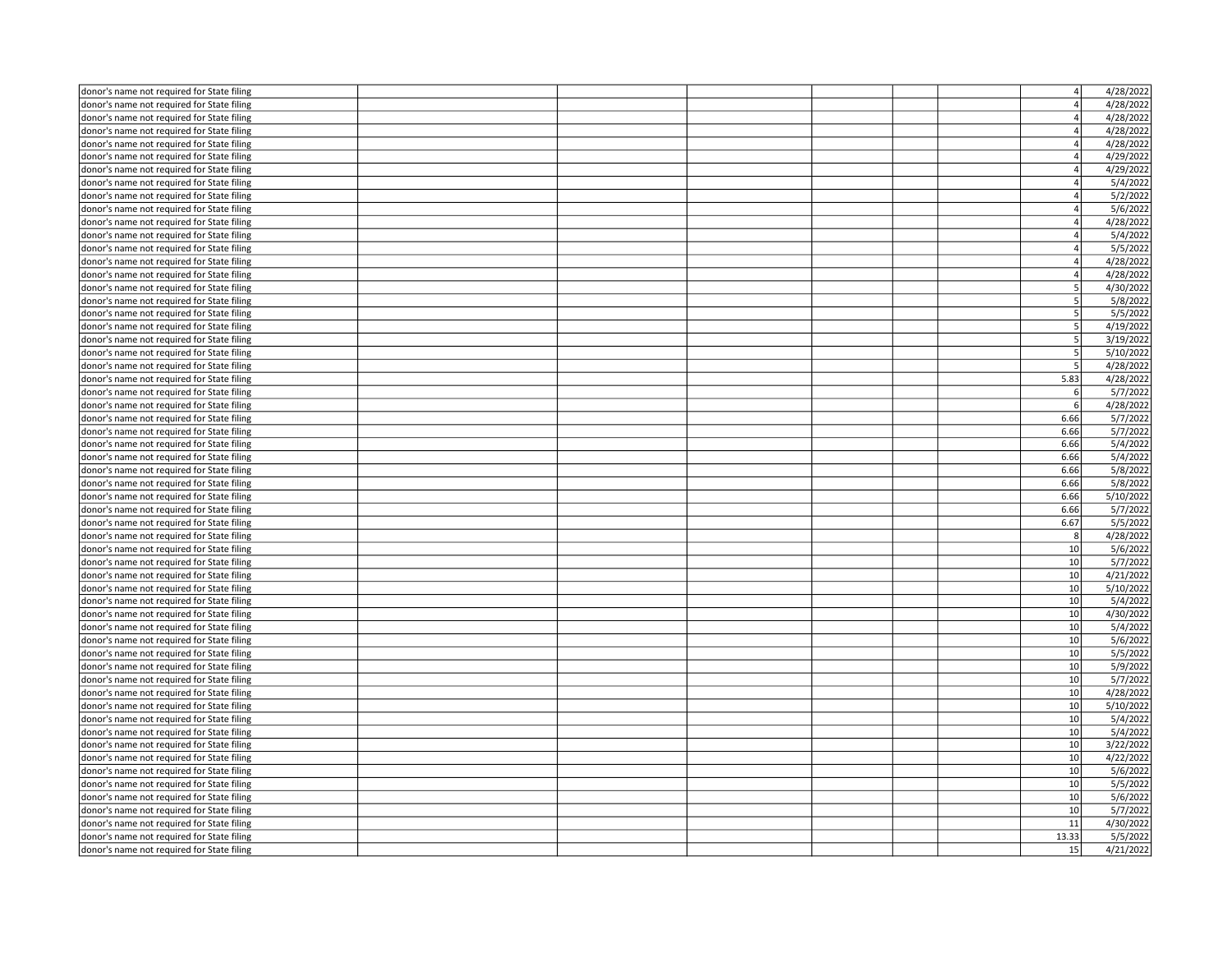| donor's name not required for State filing                                               |  |  | $\overline{4}$ | 4/28/2022 |
|------------------------------------------------------------------------------------------|--|--|----------------|-----------|
| donor's name not required for State filing                                               |  |  | 4              | 4/28/2022 |
| donor's name not required for State filing                                               |  |  | $\overline{a}$ | 4/28/2022 |
| donor's name not required for State filing                                               |  |  | 4              | 4/28/2022 |
| donor's name not required for State filing                                               |  |  | 4              | 4/28/2022 |
| donor's name not required for State filing                                               |  |  | $\overline{4}$ | 4/29/2022 |
| donor's name not required for State filing                                               |  |  | 4              | 4/29/2022 |
| donor's name not required for State filing                                               |  |  | $\overline{4}$ | 5/4/2022  |
| donor's name not required for State filing                                               |  |  | $\overline{a}$ | 5/2/2022  |
| donor's name not required for State filing                                               |  |  | $\overline{4}$ | 5/6/2022  |
| donor's name not required for State filing                                               |  |  | $\overline{a}$ | 4/28/2022 |
|                                                                                          |  |  | $\overline{4}$ | 5/4/2022  |
| donor's name not required for State filing                                               |  |  | $\overline{a}$ | 5/5/2022  |
| donor's name not required for State filing                                               |  |  | $\overline{4}$ |           |
| donor's name not required for State filing                                               |  |  |                | 4/28/2022 |
| donor's name not required for State filing                                               |  |  | 4              | 4/28/2022 |
| donor's name not required for State filing                                               |  |  | 5 <sub>5</sub> | 4/30/2022 |
| donor's name not required for State filing                                               |  |  | 5              | 5/8/2022  |
| donor's name not required for State filing                                               |  |  | 5 <sup>1</sup> | 5/5/2022  |
| donor's name not required for State filing                                               |  |  | 5 <sub>5</sub> | 4/19/2022 |
| donor's name not required for State filing                                               |  |  | 5              | 3/19/2022 |
| donor's name not required for State filing                                               |  |  | 5              | 5/10/2022 |
| donor's name not required for State filing                                               |  |  | 5              | 4/28/2022 |
| donor's name not required for State filing                                               |  |  | 5.83           | 4/28/2022 |
| donor's name not required for State filing                                               |  |  | 6              | 5/7/2022  |
| donor's name not required for State filing                                               |  |  | 6              | 4/28/2022 |
| donor's name not required for State filing                                               |  |  | 6.66           | 5/7/2022  |
| donor's name not required for State filing                                               |  |  | 6.66           | 5/7/2022  |
| donor's name not required for State filing                                               |  |  | 6.66           | 5/4/2022  |
| donor's name not required for State filing                                               |  |  | 6.66           | 5/4/2022  |
| donor's name not required for State filing                                               |  |  | 6.66           | 5/8/2022  |
| donor's name not required for State filing                                               |  |  | 6.66           | 5/8/2022  |
| donor's name not required for State filing                                               |  |  | 6.66           | 5/10/2022 |
| donor's name not required for State filing                                               |  |  | 6.66           | 5/7/2022  |
| donor's name not required for State filing                                               |  |  | 6.67           | 5/5/2022  |
| donor's name not required for State filing                                               |  |  | 8              | 4/28/2022 |
| donor's name not required for State filing                                               |  |  | 10             | 5/6/2022  |
| donor's name not required for State filing                                               |  |  | 10             | 5/7/2022  |
| donor's name not required for State filing                                               |  |  | 10             | 4/21/2022 |
| donor's name not required for State filing                                               |  |  | 10             | 5/10/2022 |
| donor's name not required for State filing                                               |  |  | 10             | 5/4/2022  |
| donor's name not required for State filing                                               |  |  | 10             | 4/30/2022 |
| donor's name not required for State filing                                               |  |  | 10             | 5/4/2022  |
| donor's name not required for State filing                                               |  |  | 10             | 5/6/2022  |
| donor's name not required for State filing                                               |  |  | 10             | 5/5/2022  |
| donor's name not required for State filing                                               |  |  | 10             | 5/9/2022  |
| donor's name not required for State filing                                               |  |  | 10             | 5/7/2022  |
| donor's name not required for State filing                                               |  |  | 10             | 4/28/2022 |
| donor's name not required for State filing                                               |  |  | 10             | 5/10/2022 |
| donor's name not required for State filing                                               |  |  | 10             | 5/4/2022  |
|                                                                                          |  |  | 10             | 5/4/2022  |
| donor's name not required for State filing<br>donor's name not required for State filing |  |  | 10             | 3/22/2022 |
|                                                                                          |  |  | 10             | 4/22/2022 |
| donor's name not required for State filing                                               |  |  |                |           |
| donor's name not required for State filing                                               |  |  | 10             | 5/6/2022  |
| donor's name not required for State filing                                               |  |  | 10             | 5/5/2022  |
| donor's name not required for State filing                                               |  |  | 10             | 5/6/2022  |
| donor's name not required for State filing                                               |  |  | 10             | 5/7/2022  |
| donor's name not required for State filing                                               |  |  | 11             | 4/30/2022 |
| donor's name not required for State filing                                               |  |  | 13.33          | 5/5/2022  |
| donor's name not required for State filing                                               |  |  | 15             | 4/21/2022 |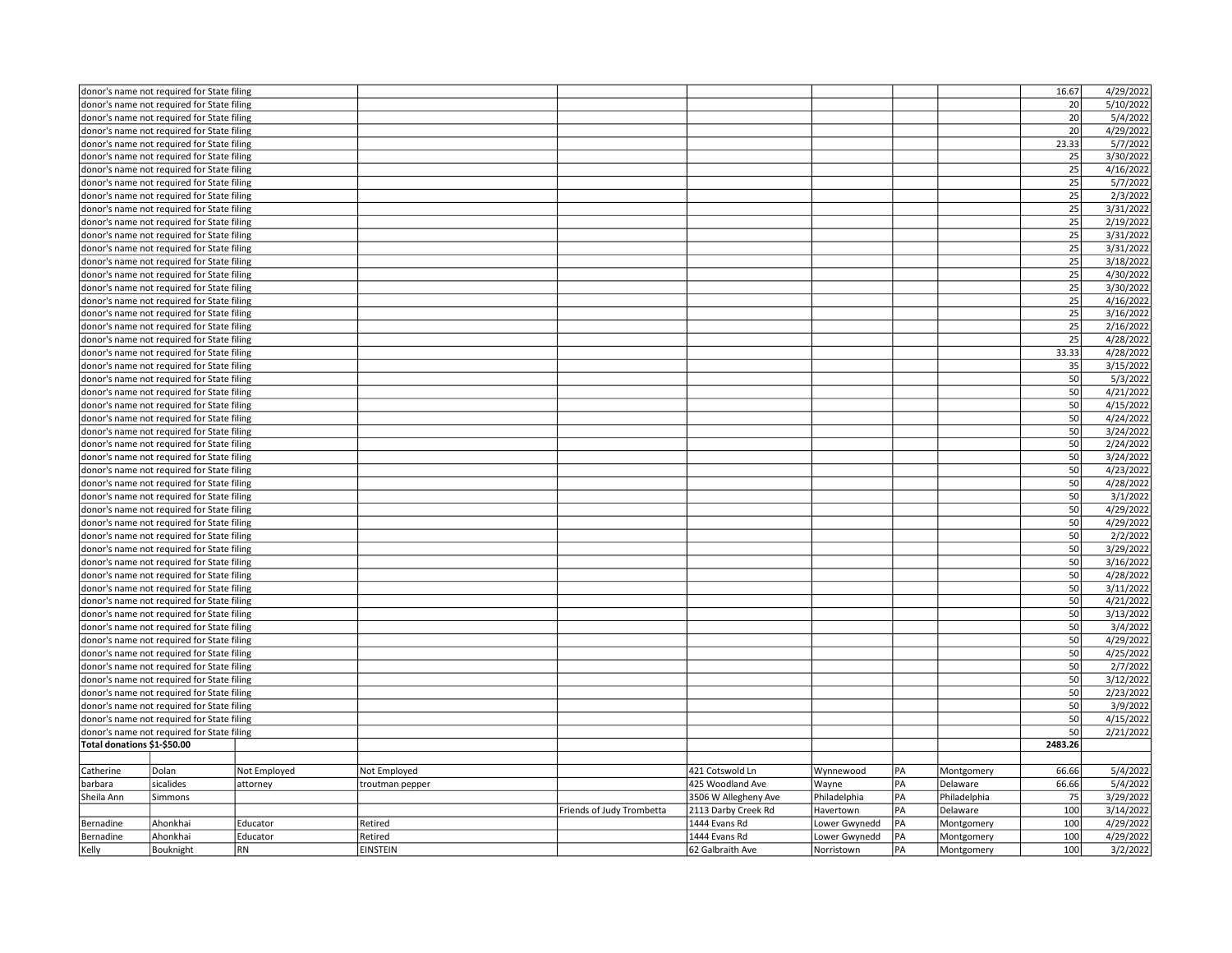|                                            | donor's name not required for State filing                                               |              |                 |                           |                      |               |    |              | 16.67     | 4/29/2022 |
|--------------------------------------------|------------------------------------------------------------------------------------------|--------------|-----------------|---------------------------|----------------------|---------------|----|--------------|-----------|-----------|
|                                            | donor's name not required for State filing                                               |              |                 |                           |                      |               |    |              | 20        | 5/10/2022 |
|                                            | donor's name not required for State filing                                               |              |                 |                           |                      |               |    |              | 20        | 5/4/2022  |
|                                            | donor's name not required for State filing                                               |              |                 |                           |                      |               |    |              | 20        | 4/29/2022 |
|                                            | donor's name not required for State filing                                               |              |                 |                           |                      |               |    |              | 23.33     | 5/7/2022  |
|                                            | donor's name not required for State filing                                               |              |                 |                           |                      |               |    |              | 25        | 3/30/2022 |
|                                            | donor's name not required for State filing                                               |              |                 |                           |                      |               |    |              | 25        | 4/16/2022 |
|                                            | donor's name not required for State filing                                               |              |                 |                           |                      |               |    |              | 25        | 5/7/2022  |
|                                            | donor's name not required for State filing                                               |              |                 |                           |                      |               |    |              | 25        | 2/3/2022  |
|                                            |                                                                                          |              |                 |                           |                      |               |    |              | 25        | 3/31/2022 |
|                                            | donor's name not required for State filing                                               |              |                 |                           |                      |               |    |              |           |           |
|                                            | donor's name not required for State filing                                               |              |                 |                           |                      |               |    |              | 25        | 2/19/2022 |
|                                            | donor's name not required for State filing                                               |              |                 |                           |                      |               |    |              | 25        | 3/31/2022 |
|                                            | donor's name not required for State filing                                               |              |                 |                           |                      |               |    |              | 25        | 3/31/2022 |
|                                            | donor's name not required for State filing                                               |              |                 |                           |                      |               |    |              | 25        | 3/18/2022 |
|                                            | donor's name not required for State filing                                               |              |                 |                           |                      |               |    |              | 25        | 4/30/2022 |
|                                            | donor's name not required for State filing                                               |              |                 |                           |                      |               |    |              | 25        | 3/30/2022 |
|                                            | donor's name not required for State filing                                               |              |                 |                           |                      |               |    |              | 25        | 4/16/2022 |
|                                            | donor's name not required for State filing                                               |              |                 |                           |                      |               |    |              | 25        | 3/16/2022 |
|                                            | donor's name not required for State filing                                               |              |                 |                           |                      |               |    |              | 25        | 2/16/2022 |
|                                            | donor's name not required for State filing                                               |              |                 |                           |                      |               |    |              | 25        | 4/28/2022 |
|                                            | donor's name not required for State filing                                               |              |                 |                           |                      |               |    |              | 33.33     | 4/28/2022 |
|                                            | donor's name not required for State filing                                               |              |                 |                           |                      |               |    |              | 35        | 3/15/2022 |
|                                            | donor's name not required for State filing                                               |              |                 |                           |                      |               |    |              | 50        | 5/3/2022  |
|                                            | donor's name not required for State filing                                               |              |                 |                           |                      |               |    |              | 50        | 4/21/2022 |
|                                            | donor's name not required for State filing                                               |              |                 |                           |                      |               |    |              | 50        | 4/15/2022 |
|                                            | donor's name not required for State filing                                               |              |                 |                           |                      |               |    |              | 50        | 4/24/2022 |
|                                            | donor's name not required for State filing                                               |              |                 |                           |                      |               |    |              | 50        | 3/24/2022 |
|                                            | donor's name not required for State filing                                               |              |                 |                           |                      |               |    |              | 50        | 2/24/2022 |
|                                            | donor's name not required for State filing                                               |              |                 |                           |                      |               |    |              | 50        | 3/24/2022 |
|                                            | donor's name not required for State filing                                               |              |                 |                           |                      |               |    |              | 50        | 4/23/2022 |
|                                            |                                                                                          |              |                 |                           |                      |               |    |              | 50        | 4/28/2022 |
| donor's name not required for State filing |                                                                                          |              |                 |                           |                      |               |    |              |           |           |
| donor's name not required for State filing |                                                                                          |              |                 |                           |                      |               |    |              | 50        | 3/1/2022  |
| donor's name not required for State filing |                                                                                          |              |                 |                           |                      |               |    | 50           | 4/29/2022 |           |
|                                            | donor's name not required for State filing                                               |              |                 |                           |                      |               |    |              | 50        | 4/29/2022 |
|                                            | donor's name not required for State filing                                               |              |                 |                           |                      |               |    |              | 50        | 2/2/2022  |
|                                            | donor's name not required for State filing                                               |              |                 |                           |                      |               |    |              | 50        | 3/29/2022 |
|                                            | donor's name not required for State filing                                               |              |                 |                           |                      |               |    |              | 50        | 3/16/2022 |
|                                            | donor's name not required for State filing                                               |              |                 |                           |                      |               |    |              | 50        | 4/28/2022 |
|                                            | donor's name not required for State filing                                               |              |                 |                           |                      |               |    |              | 50        | 3/11/2022 |
|                                            | donor's name not required for State filing                                               |              |                 |                           |                      |               |    |              | 50        | 4/21/2022 |
|                                            | donor's name not required for State filing                                               |              |                 |                           |                      |               |    |              | 50        | 3/13/2022 |
|                                            | donor's name not required for State filing                                               |              |                 |                           |                      |               |    |              | 50        | 3/4/2022  |
|                                            | donor's name not required for State filing                                               |              |                 |                           |                      |               |    |              | 50        | 4/29/2022 |
|                                            | donor's name not required for State filing                                               |              |                 |                           |                      |               |    |              | 50        | 4/25/2022 |
|                                            | donor's name not required for State filing                                               |              |                 |                           |                      |               |    |              | 50        | 2/7/2022  |
|                                            | donor's name not required for State filing                                               |              |                 |                           |                      |               |    |              | 50        | 3/12/2022 |
|                                            | donor's name not required for State filing                                               |              |                 |                           |                      |               |    |              | 50        | 2/23/2022 |
|                                            |                                                                                          |              |                 |                           |                      |               |    |              | 50        | 3/9/2022  |
|                                            | donor's name not required for State filing<br>donor's name not required for State filing |              |                 |                           |                      |               |    | 50           | 4/15/2022 |           |
|                                            | donor's name not required for State filing                                               |              |                 |                           |                      |               |    |              | 50        | 2/21/2022 |
| Total donations \$1-\$50.00                |                                                                                          |              |                 |                           |                      |               |    |              | 2483.26   |           |
|                                            |                                                                                          |              |                 |                           |                      |               |    |              |           |           |
|                                            |                                                                                          | Not Employed |                 |                           | 421 Cotswold Ln      |               | PA |              | 66.66     |           |
| Catherine                                  | Dolan                                                                                    |              | Not Employed    |                           |                      | Wynnewood     |    | Montgomery   |           | 5/4/2022  |
| barbara                                    | sicalides                                                                                | attorney     | troutman pepper |                           | 425 Woodland Ave     | Wayne         | PA | Delaware     | 66.66     | 5/4/2022  |
| Sheila Ann                                 | Simmons                                                                                  |              |                 |                           | 3506 W Allegheny Ave | Philadelphia  | PA | Philadelphia | 75        | 3/29/2022 |
|                                            |                                                                                          |              |                 | Friends of Judy Trombetta | 2113 Darby Creek Rd  | Havertown     | PA | Delaware     | 100       | 3/14/2022 |
| Bernadine                                  | Ahonkhai                                                                                 | Educator     | Retired         |                           | 1444 Evans Rd        | Lower Gwynedd | PA | Montgomery   | 100       | 4/29/2022 |
| Bernadine                                  | Ahonkhai                                                                                 | Educator     | Retired         |                           | 1444 Evans Rd        | Lower Gwynedd | PA | Montgomery   | 100       | 4/29/2022 |
| Kelly                                      | Bouknight                                                                                | <b>RN</b>    | <b>EINSTEIN</b> |                           | 62 Galbraith Ave     | Norristown    | PA | Montgomery   | 100       | 3/2/2022  |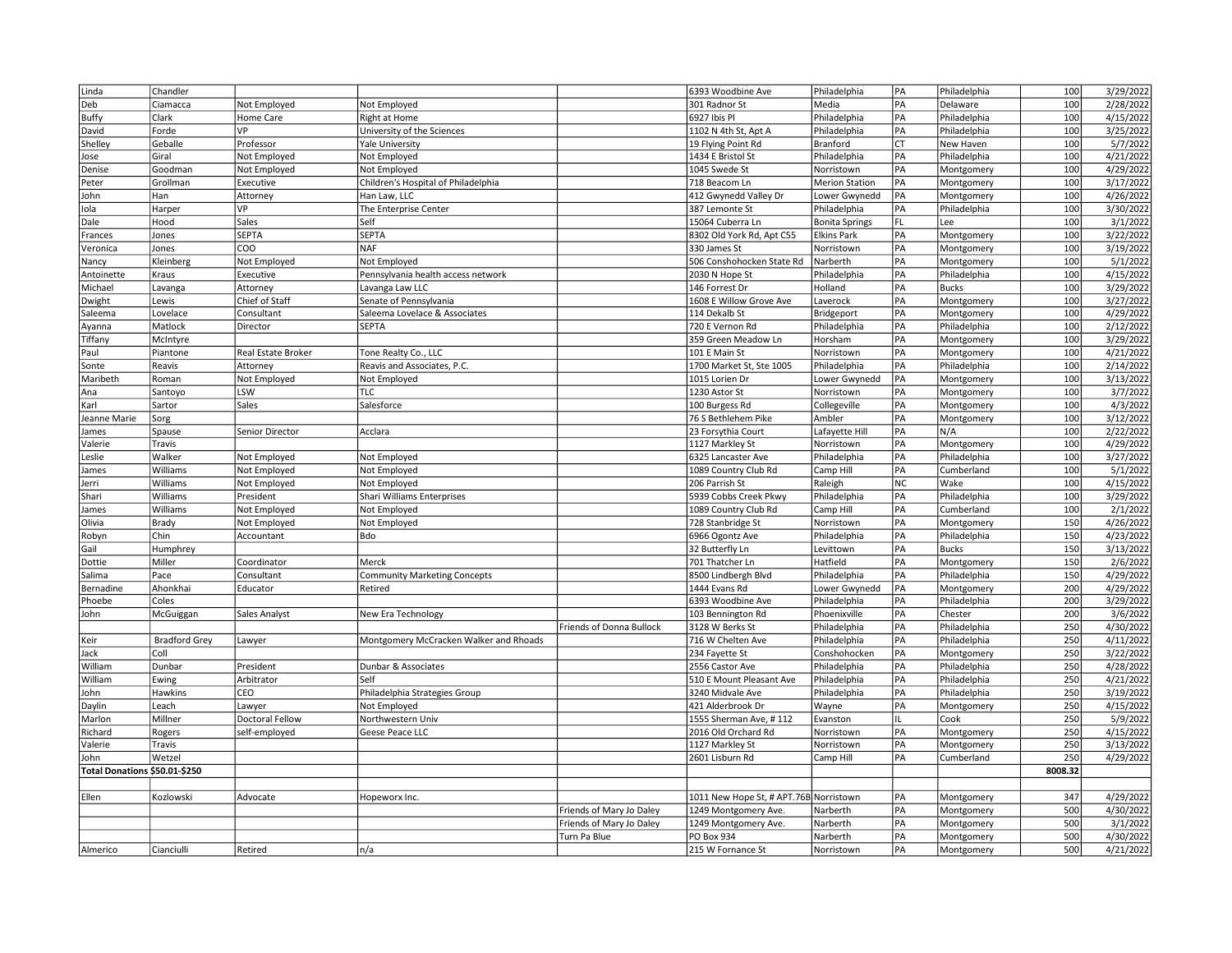| Linda                         | Chandler             |                          |                                             |                          | 6393 Woodbine Ave                          | Philadelphia                  | PA        | Philadelphia               | 100        | 3/29/2022              |
|-------------------------------|----------------------|--------------------------|---------------------------------------------|--------------------------|--------------------------------------------|-------------------------------|-----------|----------------------------|------------|------------------------|
| Deb                           | Ciamacca             | Not Employed             | Not Employed                                |                          | 301 Radnor St                              | Media                         | PA        | Delaware                   | 100        | 2/28/2022              |
| <b>Buffy</b>                  | Clark                | Home Care                | Right at Home                               |                          | 6927 Ibis Pl                               | Philadelphia                  | PA        | Philadelphia               | 100        | 4/15/2022              |
| David                         | Forde                | VP                       | University of the Sciences                  |                          | 1102 N 4th St, Apt A                       | Philadelphia                  | PA        | Philadelphia               | 100        | 3/25/2022              |
| Shelley                       | Geballe              | Professor                | <b>Yale University</b>                      |                          | 19 Flying Point Rd                         | Branford                      | CT        | New Haven                  | 100        | 5/7/2022               |
| Jose                          | Giral                | Not Employed             | Not Employed                                |                          | 1434 E Bristol St                          | Philadelphia                  | PA        | Philadelphia               | 100        | 4/21/2022              |
| Denise                        | Goodman              | Not Employed             | Not Employed                                |                          | 1045 Swede St                              | Norristown                    | PA        | Montgomery                 | 100        | 4/29/2022              |
| Peter                         | Grollman             | Executive                | Children's Hospital of Philadelphia         |                          | 718 Beacom Ln                              | <b>Merion Station</b>         | PA        | Montgomery                 | 100        | 3/17/2022              |
| John                          | Han                  | Attorney                 | Han Law, LLC                                |                          | 412 Gwynedd Valley Dr                      | Lower Gwynedd                 | PA        | Montgomery                 | 100        | 4/26/2022              |
| Iola                          | Harper               | VP                       | The Enterprise Center                       |                          | 387 Lemonte St                             | Philadelphia                  | PA        | Philadelphia               | 100        | 3/30/2022              |
| Dale                          | Hood                 | Sales                    | Self                                        |                          | 15064 Cuberra Ln                           | <b>Bonita Springs</b>         | FL        | Lee                        | 100        | 3/1/2022               |
| Frances                       | Jones                | SEPTA                    | <b>SEPTA</b>                                |                          | 8302 Old York Rd, Apt C55                  | <b>Elkins Park</b>            | PA        | Montgomery                 | 100        | 3/22/2022              |
| Veronica                      | Jones                | COO                      | <b>NAF</b>                                  |                          | 330 James St                               | Norristown                    | PA        | Montgomery                 | 100        | 3/19/2022              |
| Nancy                         | Kleinberg            | Not Employed             | Not Employed                                |                          | 506 Conshohocken State Rd                  | Narberth                      | PA        | Montgomery                 | 100        | 5/1/2022               |
| Antoinette                    | Kraus                | Executive                | Pennsylvania health access network          |                          | 2030 N Hope St                             | Philadelphia                  | PA        | Philadelphia               | 100        | 4/15/2022              |
| Michael                       | Lavanga              | Attorney                 | Lavanga Law LLC                             |                          | 146 Forrest Dr                             | Holland                       | PA        | <b>Bucks</b>               | 100        | 3/29/2022              |
|                               | Lewis                | Chief of Staff           | Senate of Pennsylvania                      |                          | 1608 E Willow Grove Ave                    | Laverock                      | PA        | Montgomery                 | 100        | 3/27/2022              |
| Dwight<br>Saleema             | Lovelace             | Consultant               | Saleema Lovelace & Associates               |                          | 114 Dekalb St                              | Bridgeport                    | PA        | Montgomery                 | 100        | 4/29/2022              |
|                               |                      |                          | <b>SEPTA</b>                                |                          | 720 E Vernon Rd                            |                               | PA        |                            | 100        |                        |
| Ayanna                        | Matlock              | Director                 |                                             |                          |                                            | Philadelphia                  | PA        | Philadelphia               | 100        | 2/12/2022<br>3/29/2022 |
| Tiffany                       | McIntyre             |                          |                                             |                          | 359 Green Meadow Ln<br>101 E Main St       | Horsham                       | PA        | Montgomery                 | 100        | 4/21/2022              |
| Paul                          | Piantone             | Real Estate Broker       | Tone Realty Co., LLC                        |                          |                                            | Norristown                    | PA        | Montgomery                 |            |                        |
| Sonte<br>Maribeth             | Reavis<br>Roman      | Attorney<br>Not Employed | Reavis and Associates, P.C.<br>Not Employed |                          | 1700 Market St, Ste 1005<br>1015 Lorien Dr | Philadelphia<br>Lower Gwynedd | PA        | Philadelphia<br>Montgomery | 100<br>100 | 2/14/2022<br>3/13/2022 |
|                               |                      | LSW                      | <b>TLC</b>                                  |                          |                                            |                               |           |                            | 100        |                        |
| Ana                           | Santoyo              | Sales                    |                                             |                          | 1230 Astor St                              | Norristown                    | PA<br>PA  | Montgomery                 | 100        | 3/7/2022               |
| Karl                          | Sartor               |                          | Salesforce                                  |                          | 100 Burgess Rd                             | Collegeville                  |           | Montgomery                 |            | 4/3/2022               |
| Jeanne Marie                  | Sorg                 |                          |                                             |                          | 76 S Bethlehem Pike                        | Ambler                        | PA        | Montgomery                 | 100        | 3/12/2022              |
| James                         | Spause               | Senior Director          | Acclara                                     |                          | 23 Forsythia Court                         | Lafayette Hill                | PA        | N/A                        | 100        | 2/22/2022              |
| Valerie                       | Travis               |                          |                                             |                          | 1127 Markley St                            | Norristown                    | PA        | Montgomery                 | 100        | 4/29/2022              |
| Leslie                        | Walker               | Not Employed             | Not Employed                                |                          | 6325 Lancaster Ave                         | Philadelphia                  | PA        | Philadelphia               | 100        | 3/27/2022              |
| James                         | Williams             | Not Employed             | Not Employed                                |                          | 1089 Country Club Rd                       | Camp Hill                     | PA        | Cumberland                 | 100        | 5/1/2022               |
| Jerri                         | Williams             | Not Employed             | Not Employed                                |                          | 206 Parrish St                             | Raleigh                       | <b>NC</b> | Wake                       | 100        | 4/15/2022              |
| Shari                         | Williams             | President                | Shari Williams Enterprises                  |                          | 5939 Cobbs Creek Pkwy                      | Philadelphia                  | PA        | Philadelphia               | 100        | 3/29/2022              |
| James                         | Williams             | Not Employed             | Not Employed                                |                          | 1089 Country Club Rd                       | Camp Hill                     | PA        | Cumberland                 | 100        | 2/1/2022               |
| Olivia                        | Brady                | Not Employed             | Not Employed                                |                          | 728 Stanbridge St                          | Norristown                    | PA        | Montgomery                 | 150        | 4/26/2022              |
| Robyn                         | Chin                 | Accountant               | <b>Bdo</b>                                  |                          | 6966 Ogontz Ave                            | Philadelphia                  | PA        | Philadelphia               | 150        | 4/23/2022              |
| Gail                          | Humphrey             |                          |                                             |                          | 32 Butterfly Ln                            | Levittown                     | PA        | <b>Bucks</b>               | 150        | 3/13/2022              |
| Dottie                        | Miller               | Coordinator              | Merck                                       |                          | 701 Thatcher Ln                            | Hatfield                      | PA        | Montgomery                 | 150        | 2/6/2022               |
| Salima                        | Pace                 | Consultant               | <b>Community Marketing Concepts</b>         |                          | 8500 Lindbergh Blvd                        | Philadelphia                  | PA        | Philadelphia               | 150        | 4/29/2022              |
| Bernadine                     | Ahonkhai             | Educator                 | Retired                                     |                          | 1444 Evans Rd                              | Lower Gwynedd                 | PA        | Montgomery                 | 200        | 4/29/2022              |
| Phoebe                        | Coles                |                          |                                             |                          | 6393 Woodbine Ave                          | Philadelphia                  | PA        | Philadelphia               | 200        | 3/29/2022              |
| John                          | McGuiggan            | Sales Analyst            | New Era Technology                          |                          | 103 Bennington Rd                          | Phoenixville                  | PA        | Chester                    | 200        | 3/6/2022               |
|                               |                      |                          |                                             | Friends of Donna Bullock | 3128 W Berks St                            | Philadelphia                  | PA        | Philadelphia               | 250        | 4/30/2022              |
| Keir                          | <b>Bradford Grey</b> | Lawyer                   | Montgomery McCracken Walker and Rhoads      |                          | 716 W Chelten Ave                          | Philadelphia                  | PA        | Philadelphia               | 250        | 4/11/2022              |
| Jack                          | Coll                 |                          |                                             |                          | 234 Fayette St                             | Conshohocken                  | PA        | Montgomery                 | 250        | 3/22/2022              |
| William                       | Dunbar               | President                | Dunbar & Associates                         |                          | 2556 Castor Ave                            | Philadelphia                  | PA        | Philadelphia               | 250        | 4/28/2022              |
| William                       | Ewing                | Arbitrator               | Self                                        |                          | 510 E Mount Pleasant Ave                   | Philadelphia                  | PA        | Philadelphia               | 250        | 4/21/2022              |
| John                          | Hawkins              | CEO                      | Philadelphia Strategies Group               |                          | 3240 Midvale Ave                           | Philadelphia                  | PA        | Philadelphia               | 250        | 3/19/2022              |
| Daylin                        | Leach                | Lawyer                   | Not Employed                                |                          | 421 Alderbrook Dr                          | Wayne                         | PA        | Montgomery                 | 250        | 4/15/2022              |
| Marlon                        | Millner              | Doctoral Fellow          | Northwestern Univ                           |                          | 1555 Sherman Ave, #112                     | Evanston                      |           | Cook                       | 250        | 5/9/2022               |
| Richard                       | Rogers               | self-employed            | Geese Peace LLC                             |                          | 2016 Old Orchard Rd                        | Norristown                    | PA        | Montgomery                 | 250        | 4/15/2022              |
| Valerie                       | Travis               |                          |                                             |                          | 1127 Markley St                            | Norristown                    | PA        | Montgomery                 | 250        | 3/13/2022              |
| John                          | Wetzel               |                          |                                             |                          | 2601 Lisburn Rd                            | Camp Hill                     | PA        | Cumberland                 | 250        | 4/29/2022              |
| Total Donations \$50.01-\$250 |                      |                          |                                             |                          |                                            |                               |           |                            | 8008.32    |                        |
|                               |                      |                          |                                             |                          |                                            |                               |           |                            |            |                        |
| Ellen                         | Kozlowski            | Advocate                 | Hopeworx Inc.                               |                          | 1011 New Hope St, # APT.76B Norristown     |                               | PA        | Montgomery                 | 347        | 4/29/2022              |
|                               |                      |                          |                                             | Friends of Mary Jo Daley | 1249 Montgomery Ave.                       | Narberth                      | PA        | Montgomery                 | 500        | 4/30/2022              |
|                               |                      |                          |                                             | Friends of Mary Jo Daley | 1249 Montgomery Ave.                       | Narberth                      | PA        | Montgomery                 | 500        | 3/1/2022               |
|                               |                      |                          |                                             | Turn Pa Blue             | PO Box 934                                 | Narberth                      | PA        | Montgomery                 | 500        | 4/30/2022              |
| Almerico                      | Cianciulli           | Retired                  | n/a                                         |                          | 215 W Fornance St                          | Norristown                    | PA        | Montgomery                 | 500        | 4/21/2022              |